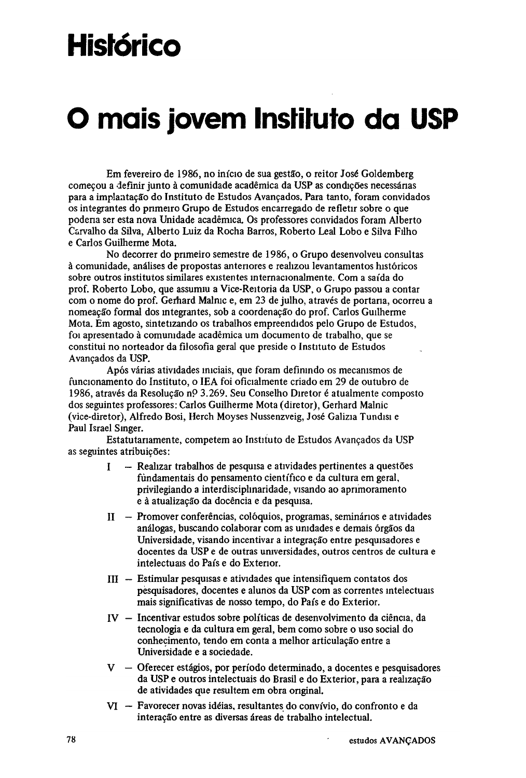# **Histórico**

# **O mais jovem Instituto da USP**

Em fevereiro de 1986, no início de sua gestão, o reitor José Goldemberg começou a definir junto à comunidade acadêmica da USP as condições necessárias para a implantação do Instituto de Estudos Avançados. Para tanto, foram convidados os integrantes do primeiro Grupo de Estudos encarregado de refletir sobre o que poderia ser esta nova Unidade acadêmica. Os professores convidados foram Alberto Carvalho da Silva, Alberto Luiz da Rocha Barros, Roberto Leal Lobo e Silva Filho e Carlos Guilherme Mota.

No decorrer do primeiro semestre de 1986, o Grupo desenvolveu consultas à comunidade, análises de propostas anteriores e realizou levantamentos históricos sobre outros institutos similares existentes internacionalmente. Com a saída do prof. Roberto Lobo, que assumiu a Vice-Reitoria da USP, o Grupo passou a contar com o nome do prof. Gerhard Malnic e, em 23 de julho, através de portaria, ocorreu a nomeação formal dos integrantes, sob a coordenação do prof. Carlos Guilherme Mota. Em agosto, sintetizando os trabalhos empreendidos pelo Grupo de Estudos, foi apresentado à comunidade acadêmica um documento de trabalho, que se constitui no norteador da filosofia geral que preside o Instituto de Estudos Avançados da USP.

Após várias atividades iniciais, que foram definindo os mecanismos de funcionamento do Instituto, o IEA foi oficialmente criado em 29 de outubro de 1986, através da Resolução np 3.269. Seu Conselho Diretor é atualmente composto dos seguintes professores: Carlos Guilherme Mota (diretor), Gerhard Malnic (vice-diretor), Alfredo Bosi, Herch Moyses Nussenzveig, José Galizia Tundisi e Paul Israel Singer.

Estatutariamente, competem ao Instituto de Estudos Avançados da USP as seguintes atribuições:

- I Realizar trabalhos de pesquisa e atividades pertinentes a questões fundamentais do pensamento científico e da cultura em geral, privilegiando a interdisciplinaridade, visando ao aprimoramento e à atualização da docência e da pesquisa.
- H Promover conferências, colóquios, programas, seminários e atividades análogas, buscando colaborar com as unidades e demais órgãos da Universidade, visando incentivar a integração entre pesquisadores e docentes da USP e de outras universidades, outros centros de cultura e intelectuais do País e do Exterior.
- III Estimular pesquisas e atividades que intensifiquem contatos dos pesquisadores, docentes e alunos da USP com as correntes intelectuais mais significativas de nosso tempo, do País e do Exterior.
- IV Incentivar estudos sobre políticas de desenvolvimento da ciência, da tecnologia e da cultura em geral, bem como sobre o uso social do conhecimento, tendo em conta a melhor articulação entre a Universidade e a sociedade.
- V Oferecer estágios, por período determinado, a docentes e pesquisadores da USP e outros intelectuais do Brasil e do Exterior, para a realização de atividades que resultem em obra original.
- VI Favorecer novas idéias, resultantes do convívio, do confronto e da interação entre as diversas áreas de trabalho intelectual.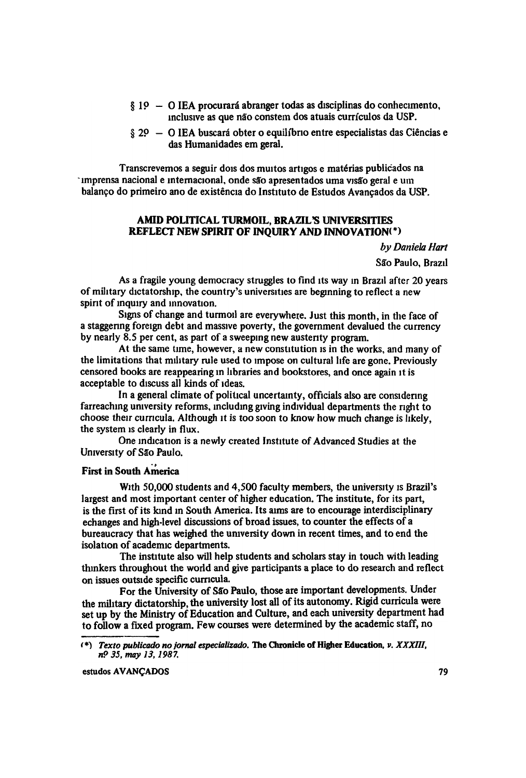- § 1º O IEA procurará abranger todas as disciplinas do conhecimento, inclusive as que não constem dos atuais currículos da USP.
- $§ 20 O$  IEA buscará obter o equilíbrio entre especialistas das Ciências e das Humanidades em geral.

Transcrevemos a seguir dois dos muitos artigos e matérias publicados na imprensa nacional e internacional, onde são apresentados uma visão geral e um balanço do primeiro ano de existência do Instituto de Estudos Avançados da USP.

# **AMID POLITICAL TURMOIL, BRAZIL'S UNIVERSITIES REFLECT NEW SPIRIT OF INQUIRY AND INNOVATION (\*)**

*by Daniela Hart* São Paulo, Brazil

As a fragile young democracy struggles to find its way in Brazil after 20 years of military dictatorship, the country's universities are beginning to reflect a new spirit of inquiry and innovation.

Signs of change and turmoil are everywhere. Just this month, in the face of a staggering foreign debt and massive poverty, the government devalued the currency by nearly 8.5 per cent, as part of a sweeping new austerity program.

At the same time, however, a new constitution is in the works, and many of the limitations that military rule used to impose on cultural life are gone. Previously censored books are reappearing in libraries and bookstores, and once again it is acceptable to discuss all kinds of ideas.

In a general climate of political uncertainty, officials also are considering farreaching university reforms, including giving individual departments the right to choose their curricula. Although it is too soon to know how much change is likely, the system is clearly in flux.

One indication is a newly created Institute of Advanced Studies at the University of São Paulo.

# **First in South America**

With 50,000 students and 4,500 faculty members, the university is Brazil's largest and most important center of higher education. The institute, for its part, is the first of its kind in South America. Its aims are to encourage interdisciplinary echanges and high-level discussions of broad issues, to counter the effects of a bureaucracy that has weighed the university down in recent times, and to end the isolation of academic departments.

The institute also will help students and scholars stay in touch with leading thinkers throughout the world and give participants a place to do research and reflect on issues outside specific curricula.

For the University of São Paulo, those are important developments. Under the military dictatorship, the university lost all of its autonomy. Rigid curricula were set up by the Ministry of Education and Culture, and each university department had to follow a fixed program. Few courses were determined by the academic staff, no

*<sup>(</sup>***\*)** *Texto publicado no jornal especializado.* **The Chronicle of Higher Education,** *v. XXXIII, n° 35. may 13, 1987.*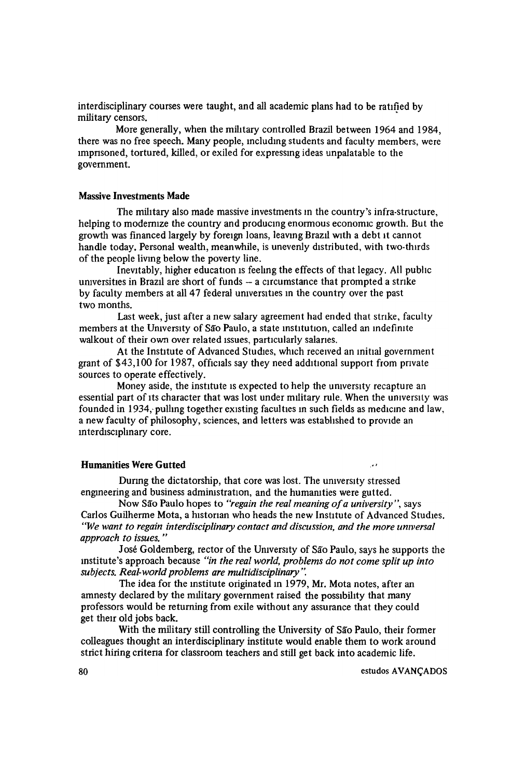interdisciplinary courses were taught, and all academic plans had to be ratified by military censors.

More generally, when the military controlled Brazil between 1964 and 1984, there was no free speech. Many people, including students and faculty members, were imprisoned, tortured, killed, or exiled for expressing ideas unpalatable to the government.

### **Massive Investments Made**

The military also made massive investments in the country's infra-structure, helping to modernize the country and producing enormous economic growth. But the growth was financed largely by foreign loans, leaving Brazil with a debt it cannot handle today. Personal wealth, meanwhile, is unevenly distributed, with two-thirds of the people living below the poverty line.

Inevitably, higher education is feeling the effects of that legacy. All public universities in Brazil are short of funds — a circumstance that prompted a strike by faculty members at all 47 federal universities in the country over the past two months.

Last week, just after a new salary agreement had ended that strike, faculty members at the University of São Paulo, a state institution, called an indefinite walkout of their own over related issues, particularly salaries.

At the Institute of Advanced Studies, which received an initial government grant of \$43,100 for 1987, officials say they need additional support from private sources to operate effectively.

Money aside, the institute is expected to help the university recapture an essential part of its character that was lost under military rule. When the university was founded in 1934; pulling together existing faculties in such fields as medicine and law, a new faculty of philosophy, sciences, and letters was established to provide an interdisciplinary core.

#### **Humanities Were Gutted**

During the dictatorship, that core was lost. The university stressed engineering and business administration, and the humanities were gutted.

Now São Paulo hopes to *"regain the real meaning of a university",* says Carlos Guilherme Mota, a historian who heads the new Institute of Advanced Studies. *"We want to regain interdisciplinary contact and discussion, and the more universal approach to issues."*

José Goldemberg, rector of the University of São Paulo, says he supports the institute's approach because *"in the real world, problems do not come split up into subjects. Real-world problems are multidisciplinary".*

The idea for the institute originated in 1979, Mr. Mota notes, after an amnesty declared by the military government raised the possibility that many professors would be returning from exile without any assurance that they could get their old jobs back.

With the military still controlling the University of São Paulo, their former colleagues thought an interdisciplinary institute would enable them to work around strict hiring criteria for classroom teachers and still get back into academic life.

 $\lambda$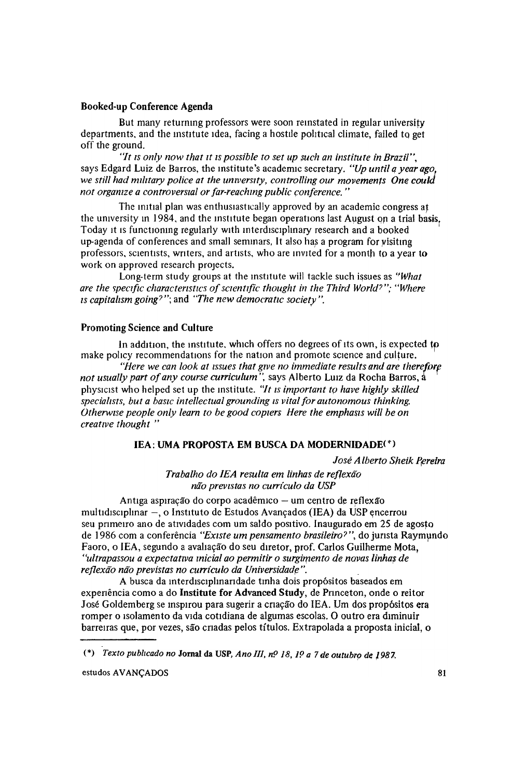#### **Booked-up Conference Agenda**

But many returning professors were soon reinstated in regular university departments, and the institute idea, facing a hostile political climate, failed to get off the ground.

"It *is only now that it is possible to set up such an institute in Brazil",* says Edgard Luiz de Barros, the institute's academic secretary. *"Up until q year ago. we still had military police at the university, controlling our movements One could not organize a controversial or far-reaching public conference."*

The initial plan was enthusiastically approved by an academic congress at the university in 1984, and the institute began operations last August on a trial basis. Today it is functioning regularly with interdisciplinary research and a booked up-agenda of conferences and small seminars. It also has a program for visiting professors, scientists, writers, and artists, who are invited for a month to a year to work on approved research projects.

Long-term study groups at the institute will tackle such issues as *''What are the specific characteristics of scientific thought in the Third World?"; "Where is capitalism going?"*; and *"The new democratic society".*

### **Promoting Science and Culture**

In addition, the institute, which offers no degrees of its own, is expected to make policy recommendations for the nation and promote science and culture.

*"Here we can look at issues that give no immediate results and are therefore not usually part of any course curriculum",* says Alberto Luiz da Rocha Barros, a physicist who helped set up the institute. *"It is important to have highly skilled specialists, but a basic intellectual grounding is vital for autonomous thinking. Otherwise people only learn to be good copiers Here the emphasis will be on creative thought"*

# *IEA:* **UMA PROPOSTA EM BUSCA DA MODERNIDADE(\*)**

*José A Iberto Sheik Pereira*

*Trabalho do IEA resulta em linhas de reflexão não previstas no currículo da USP*

Antiga aspiração do corpo acadêmico — um centro de reflexão multidisciplinar —, o Instituto de Estudos Avançados (IEA) da USP encerrou seu primeiro ano de atividades com um saldo positivo. Inaugurado em 25 de agosto de 1986 com a conferência *"Existe um pensamento brasileiro?",* do jurista Raymundo Faoro, o IEA, segundo a avaliação do seu diretor, prof. Carlos Guilherme Mota, *"ultrapassou a expectativa inicial ao permitir o surgimento de novas linhas de reflexão não previstas no currículo da Universidade".*

A busca da interdisciplinaridade tinha dois propósitos baseados em experiência como a do **Institute for Advanced Study,** de Princeton, onde o reitor José Goldemberg se inspirou para sugerir a criação do IEA. Um dos propósitos era romper o isolamento da vida cotidiana de algumas escolas. O outro era diminuir barreiras que, por vezes, são criadas pelos títulos. Extrapolada a proposta inicial, o

<sup>(\*)</sup> *Texto publicado no* **Jornal da USP,** *Ano III, nº 18, 1º a 7 de outubro de 1987.*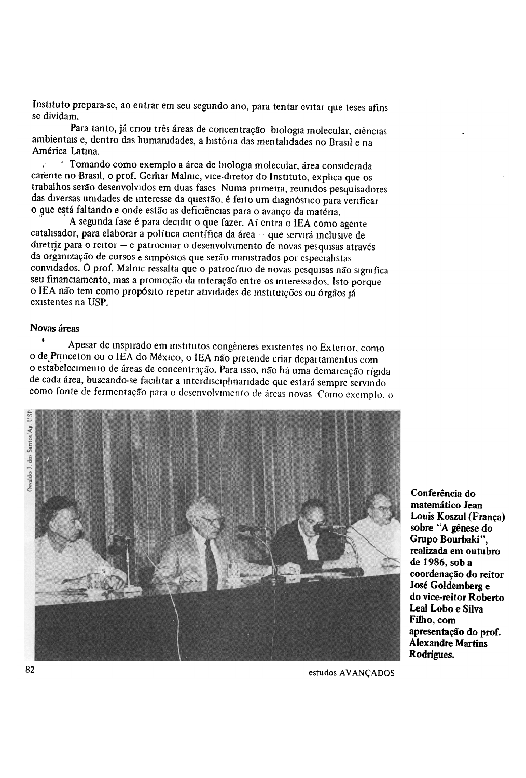Instituto prepara-se, ao entrar em seu segundo ano, para tentar evitar que teses afins se dividam.

Para tanto, já criou três áreas de concentração biologia molecular, ciências ambientais e, dentro das humanidades, a história das mentalidades no Brasil e na América Latina.

Tomando como exemplo a área de biologia molecular, área considerada carente no Brasil, o prof. Gerhar Malnic, vice-diretor do Instituto, explica que os trabalhos serão desenvolvidos em duas fases. Numa primeira, reunidos pesquisadores das diversas unidades de interesse da questão, é feito um diagnóstico para verificar o que está faltando e onde estão as deficiências para o avanço da matéria.

A segunda fase é para decidir o que fazer. Aí entra o IEA como agente catalisador, para elaborar a política científica da área — que servirá inclusive de diretriz para o reitor — e patrocinar o desenvolvimento de novas pesquisas através da organização de cursos e simpósios que serão ministrados por especialistas convidados. O prof. Malnic ressalta que o patrocínio de novas pesquisas não significa seu financiamento, mas a promoção da interação entre os interessados. Isto porque o IEA não tem como propósito repetir atividades de instituições ou órgãos já existentes na USP.

## **Novas áreas**

Apesar de inspirado em institutos congêneres existentes no Exterior, como o de Princeton ou o IEA do México, o IEA não pretende criar departamentos com o estabelecimento de áreas de concentração. Para isso, não há uma demarcação rígida de cada área, buscando-se facilitar a interdisciplinaridade que estará sempre servindo como fonte de fermentação para o desenvolvimento de áreas novas Como exemplo, o



Conferência do matemático Jean Louis Koszul (França) sobre "A gênese do Grupo Bourbaki", realizada em outubro de 1986, sob a coordenação do reitor José Goldemberg e do vice-reitor Roberto Leal Lobo e Silva Filho, com apresentação do prof. **Alexandre Martins** Rodrigues.

estudos AVANÇADOS